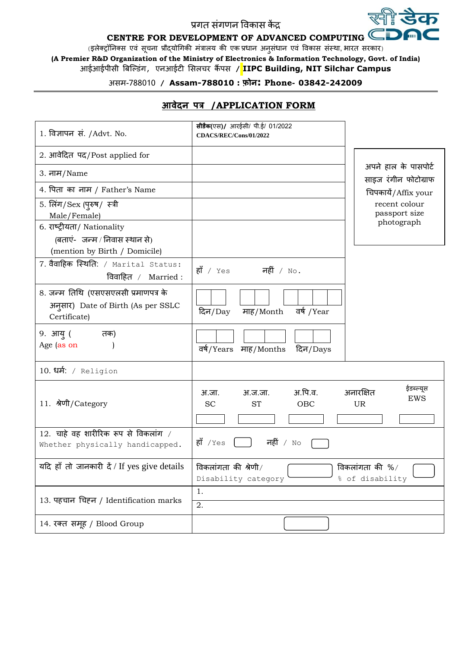## प्रगत संगणन विकास कें द्र

#### **CENTRE FOR DEVELOPMENT OF ADVANCED COMPUTING** R CE

र्स्ली **डेक** 

(इलेक्ट्रॉनिक्स एवं सूचना प्रौद्योगिकी मंत्रालय की एक प्रधान अनुसंधान एवं विकास संस्था, भारत सरकार)

**(A Premier R&D Organization of the Ministry of Electronics & Information Technology, Govt. of India)** आईआईपीसी बिल्डंग, एनआईटी ससलचर कैं पस **/ IIPC Building, NIT Silchar Campus**

# असम-788010 **/ Assam-788010 : फ़ोन: Phone- 03842-242009**

| 1. विज्ञापन सं. /Advt. No.                                                                    | सीडैक(एस)/ आरईसी/ पी.ई/ 01/2022<br>CDACS/REC/Cons/01/2022                 |                                               |
|-----------------------------------------------------------------------------------------------|---------------------------------------------------------------------------|-----------------------------------------------|
| 2. आवेदित पद/Post applied for                                                                 |                                                                           |                                               |
| 3. नाम/Name                                                                                   |                                                                           | अपने हाल के पासपोर्ट<br>साइज रंगीन फोटोग्राफ  |
| 4. पिता का नाम / Father's Name                                                                |                                                                           | चिपकायें/Affix your                           |
| 5. लिंग/Sex (पुरुष/ स्त्री<br>Male/Female)                                                    |                                                                           | recent colour<br>passport size                |
| 6. राष्ट्रीयता/ Nationality<br>(बताएं-जन्म / निवास स्थान से)<br>(mention by Birth / Domicile) |                                                                           | photograph                                    |
| 7. वैवाहिक स्थिति: / Marital Status:<br>विवाहित / Married:                                    | $\stackrel{\sim}{\mathsf{RI}}$ / Yes<br>नहीं / $\overline{\mathrm{No}}$ . |                                               |
| 8. जन्म तिथि (एसएसएलसी प्रमाणपत्र के<br>अनुसार) Date of Birth (As per SSLC<br>Certificate)    | वर्ष /Year<br>दिन/Day<br>माह/Month                                        |                                               |
| 9. आयु (<br>तक)<br>Age (as on                                                                 | वर्ष/Years माह/Months<br>दिन/Days                                         |                                               |
| 10. धर्म: / Religion                                                                          |                                                                           |                                               |
| 11. श्रेणी/Category                                                                           | अ.पि.व.<br>अ.जा.<br>अ.ज.जा.<br><b>SC</b><br><b>ST</b><br><b>OBC</b>       | ईडब्ल्यूस<br>अनारक्षित<br>EWS<br><b>UR</b>    |
| 12. चाहे वह शारीरिक रूप से विकलांग /<br>Whether physically handicapped.                       | हाँ $/$ Yes<br>नहीं / $N \circ$                                           |                                               |
| यदि हाँ तो जानकारी दें / If yes give details                                                  | विकलांगता की श्रेणी/<br>Disability category                               | विकलांगता की $\frac{9}{4}$<br>% of disability |
| 13. पहचान चिहन / Identification marks                                                         | 1.<br>2.                                                                  |                                               |
| 14. रक्त समूह / Blood Group                                                                   |                                                                           |                                               |

## **आवेदन पत्र /APPLICATION FORM**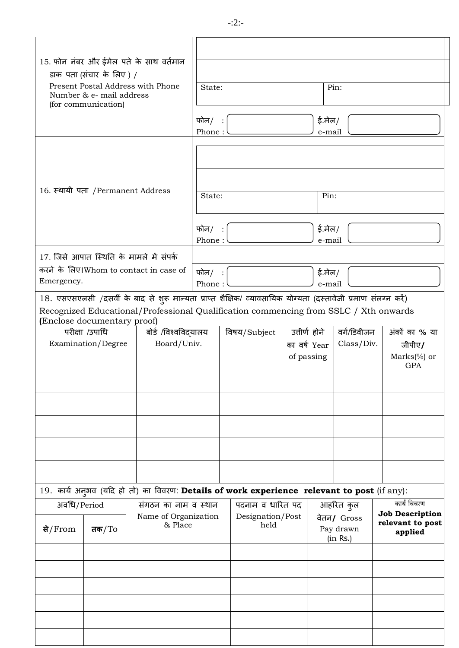| 15. फोन नंबर और ईमेल पते के साथ वर्तमान<br>डाक पता (संचार के लिए) /<br>Present Postal Address with Phone<br>Number & e- mail address<br>(for communication)                                                                          |                                    | State:<br>फोन/<br>Phone: |              | ई.मेल/<br>e-mail                            | Pin:                      |                                                         |
|--------------------------------------------------------------------------------------------------------------------------------------------------------------------------------------------------------------------------------------|------------------------------------|--------------------------|--------------|---------------------------------------------|---------------------------|---------------------------------------------------------|
| 16. स्थायी पता / Permanent Address                                                                                                                                                                                                   |                                    | State:                   |              | Pin:                                        |                           |                                                         |
|                                                                                                                                                                                                                                      |                                    | फोन/<br>Phone:           |              | ई.मेल/<br>e-mail                            |                           |                                                         |
| 17. जिसे आपात स्थिति के मामले में संपर्क<br>करने के लिए।Whom to contact in case of<br>Emergency.                                                                                                                                     |                                    | फोन/<br>Phone:           |              | ई.मेल/<br>e-mail                            |                           |                                                         |
| 18. एसएसएलसी /दसवीं के बाद से शुरू मान्यता प्राप्त शैक्षिक/ व्यावसायिक योग्यता (दस्तावेजी प्रमाण संलग्न करें)<br>Recognized Educational/Professional Qualification commencing from SSLC / Xth onwards<br>(Enclose documentary proof) |                                    |                          |              |                                             |                           |                                                         |
| परीक्षा /उपाधि<br>Examination/Degree                                                                                                                                                                                                 | बोर्ड /विश्वविदयालय<br>Board/Univ. |                          | विषय/Subject | उत्तीर्ण होने<br>का वर्ष Year<br>of passing | वर्ग/डिवीजन<br>Class/Div. | अंकों का % या<br>जीपीए/<br>$Marks$ (%) or<br><b>GPA</b> |
|                                                                                                                                                                                                                                      |                                    |                          |              |                                             |                           |                                                         |
|                                                                                                                                                                                                                                      |                                    |                          |              |                                             |                           |                                                         |
|                                                                                                                                                                                                                                      |                                    |                          |              |                                             |                           |                                                         |
|                                                                                                                                                                                                                                      |                                    |                          |              |                                             |                           |                                                         |
|                                                                                                                                                                                                                                      |                                    |                          |              |                                             |                           |                                                         |

19. कार्य अनुभव (यदि हो तो) का विवरण: Details of work experience relevant to post (if any): अवधि/Period | संगठन का नाम व स्थान Name of Organization & Place पदनाम व धारित पद Designation/Post held आिररत कुल िेतन**/** Gross Pay drawn (in Rs.) कार्य विवरण **Job Description relevant to post से applied** /From **तक**/To

-:2:-